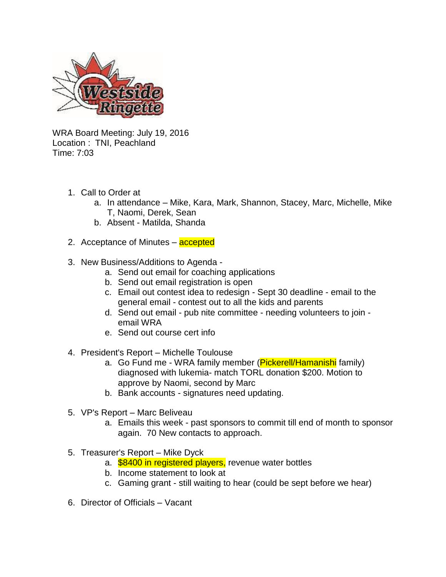

WRA Board Meeting: July 19, 2016 Location : TNI, Peachland Time: 7:03

- 1. Call to Order at
	- a. In attendance Mike, Kara, Mark, Shannon, Stacey, Marc, Michelle, Mike T, Naomi, Derek, Sean
	- b. Absent Matilda, Shanda
- 2. Acceptance of Minutes **accepted**
- 3. New Business/Additions to Agenda
	- a. Send out email for coaching applications
	- b. Send out email registration is open
	- c. Email out contest idea to redesign Sept 30 deadline email to the general email - contest out to all the kids and parents
	- d. Send out email pub nite committee needing volunteers to join email WRA
	- e. Send out course cert info
- 4. President's Report Michelle Toulouse
	- a. Go Fund me WRA family member (Pickerell/Hamanishi family) diagnosed with lukemia- match TORL donation \$200. Motion to approve by Naomi, second by Marc
	- b. Bank accounts signatures need updating.
- 5. VP's Report Marc Beliveau
	- a. Emails this week past sponsors to commit till end of month to sponsor again. 70 New contacts to approach.
- 5. Treasurer's Report Mike Dyck
	- a. **\$8400 in registered players**, revenue water bottles
	- b. Income statement to look at
	- c. Gaming grant still waiting to hear (could be sept before we hear)
- 6. Director of Officials Vacant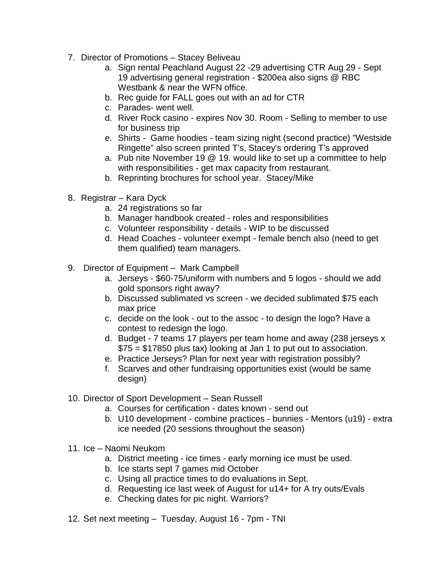- 7. Director of Promotions Stacey Beliveau
	- a. Sign rental Peachland August 22 -29 advertising CTR Aug 29 Sept 19 advertising general registration - \$200ea also signs @ RBC Westbank & near the WFN office.
	- b. Rec guide for FALL goes out with an ad for CTR
	- c. Parades- went well.
	- d. River Rock casino expires Nov 30. Room Selling to member to use for business trip
	- e. Shirts Game hoodies team sizing night (second practice) "Westside Ringette" also screen printed T's, Stacey's ordering T's approved
	- a. Pub nite November 19 @ 19. would like to set up a committee to help with responsibilities - get max capacity from restaurant.
	- b. Reprinting brochures for school year. Stacey/Mike
- 8. Registrar Kara Dyck
	- a. 24 registrations so far
	- b. Manager handbook created roles and responsibilities
	- c. Volunteer responsibility details WIP to be discussed
	- d. Head Coaches volunteer exempt female bench also (need to get them qualified) team managers.
- 9. Director of Equipment *–* Mark Campbell
	- a. Jerseys \$60-75/uniform with numbers and 5 logos should we add gold sponsors right away?
	- b. Discussed sublimated vs screen we decided sublimated \$75 each max price
	- c. decide on the look out to the assoc to design the logo? Have a contest to redesign the logo.
	- d. Budget 7 teams 17 players per team home and away (238 jerseys x \$75 = \$17850 plus tax) looking at Jan 1 to put out to association.
	- e. Practice Jerseys? Plan for next year with registration possibly?
	- f. Scarves and other fundraising opportunities exist (would be same design)
- 10. Director of Sport Development Sean Russell
	- a. Courses for certification dates known send out
	- b. U10 development combine practices bunnies Mentors (u19) extra ice needed (20 sessions throughout the season)
- 11. Ice Naomi Neukom
	- a. District meeting ice times early morning ice must be used.
	- b. Ice starts sept 7 games mid October
	- c. Using all practice times to do evaluations in Sept.
	- d. Requesting ice last week of August for u14+ for A try outs/Evals
	- e. Checking dates for pic night. Warriors?
- 12. Set next meeting Tuesday, August 16 7pm TNI